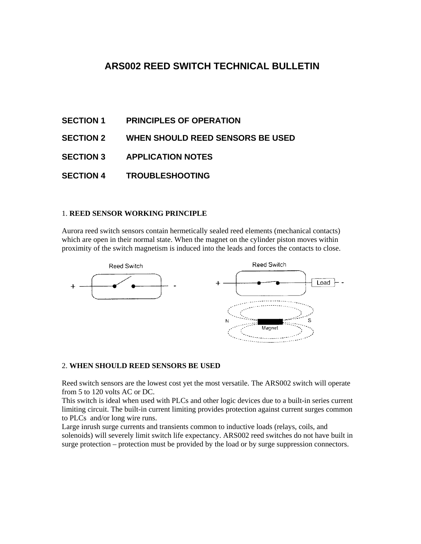# **ARS002 REED SWITCH TECHNICAL BULLETIN**

- **SECTION 1 PRINCIPLES OF OPERATION**
- **SECTION 2 WHEN SHOULD REED SENSORS BE USED**
- **SECTION 3 APPLICATION NOTES**
- **SECTION 4 TROUBLESHOOTING**

### 1. **REED SENSOR WORKING PRINCIPLE**

Aurora reed switch sensors contain hermetically sealed reed elements (mechanical contacts) which are open in their normal state. When the magnet on the cylinder piston moves within proximity of the switch magnetism is induced into the leads and forces the contacts to close.



#### 2. **WHEN SHOULD REED SENSORS BE USED**

Reed switch sensors are the lowest cost yet the most versatile. The ARS002 switch will operate from 5 to 120 volts AC or DC.

This switch is ideal when used with PLCs and other logic devices due to a built-in series current limiting circuit. The built-in current limiting provides protection against current surges common to PLCs and/or long wire runs.

Large inrush surge currents and transients common to inductive loads (relays, coils, and solenoids) will severely limit switch life expectancy. ARS002 reed switches do not have built in surge protection – protection must be provided by the load or by surge suppression connectors.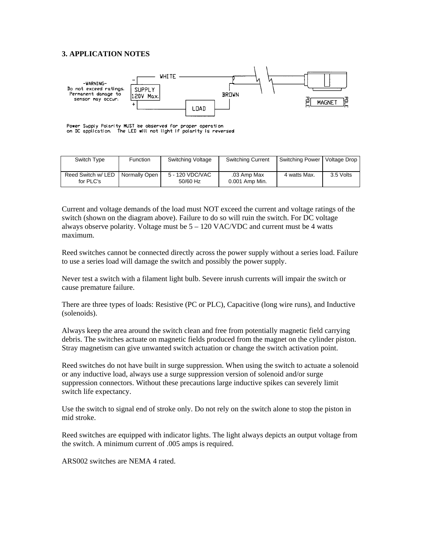## **3. APPLICATION NOTES**



Power Supply Polarity MUST be observed for proper operation<br>on DC application. The LED will not light if polarity is reversed

| Switch Type                     | Function      | Switching Voltage           | <b>Switching Current</b>      | Switching Power | Voltage Drop |
|---------------------------------|---------------|-----------------------------|-------------------------------|-----------------|--------------|
| Reed Switch w/ LED<br>for PLC's | Normally Open | 5 - 120 VDC/VAC<br>50/60 Hz | .03 Amp Max<br>0.001 Amp Min. | 4 watts Max.    | 3.5 Volts    |

Current and voltage demands of the load must NOT exceed the current and voltage ratings of the switch (shown on the diagram above). Failure to do so will ruin the switch. For DC voltage always observe polarity. Voltage must be  $5 - 120$  VAC/VDC and current must be 4 watts maximum.

Reed switches cannot be connected directly across the power supply without a series load. Failure to use a series load will damage the switch and possibly the power supply.

Never test a switch with a filament light bulb. Severe inrush currents will impair the switch or cause premature failure.

There are three types of loads: Resistive (PC or PLC), Capacitive (long wire runs), and Inductive (solenoids).

Always keep the area around the switch clean and free from potentially magnetic field carrying debris. The switches actuate on magnetic fields produced from the magnet on the cylinder piston. Stray magnetism can give unwanted switch actuation or change the switch activation point.

Reed switches do not have built in surge suppression. When using the switch to actuate a solenoid or any inductive load, always use a surge suppression version of solenoid and/or surge suppression connectors. Without these precautions large inductive spikes can severely limit switch life expectancy.

Use the switch to signal end of stroke only. Do not rely on the switch alone to stop the piston in mid stroke.

Reed switches are equipped with indicator lights. The light always depicts an output voltage from the switch. A minimum current of .005 amps is required.

ARS002 switches are NEMA 4 rated.